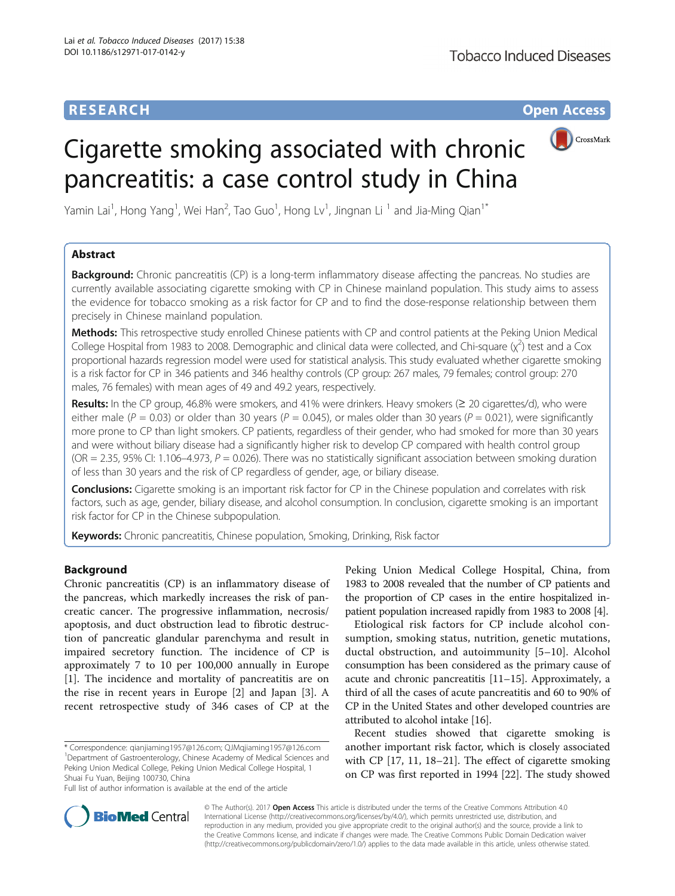# **RESEARCH CHE Open Access**

CrossMark

# Cigarette smoking associated with chronic pancreatitis: a case control study in China

Yamin Lai<sup>1</sup>, Hong Yang<sup>1</sup>, Wei Han<sup>2</sup>, Tao Guo<sup>1</sup>, Hong Lv<sup>1</sup>, Jingnan Li <sup>1</sup> and Jia-Ming Qian<sup>1\*</sup>

# Abstract

**Background:** Chronic pancreatitis (CP) is a long-term inflammatory disease affecting the pancreas. No studies are currently available associating cigarette smoking with CP in Chinese mainland population. This study aims to assess the evidence for tobacco smoking as a risk factor for CP and to find the dose-response relationship between them precisely in Chinese mainland population.

Methods: This retrospective study enrolled Chinese patients with CP and control patients at the Peking Union Medical College Hospital from 1983 to 2008. Demographic and clinical data were collected, and Chi-square  $(\chi^2)$  test and a Cox proportional hazards regression model were used for statistical analysis. This study evaluated whether cigarette smoking is a risk factor for CP in 346 patients and 346 healthy controls (CP group: 267 males, 79 females; control group: 270 males, 76 females) with mean ages of 49 and 49.2 years, respectively.

Results: In the CP group, 46.8% were smokers, and 41% were drinkers. Heavy smokers ( $\geq$  20 cigarettes/d), who were either male ( $P = 0.03$ ) or older than 30 years ( $P = 0.045$ ), or males older than 30 years ( $P = 0.021$ ), were significantly more prone to CP than light smokers. CP patients, regardless of their gender, who had smoked for more than 30 years and were without biliary disease had a significantly higher risk to develop CP compared with health control group ( $OR = 2.35$ , 95% CI: 1.106–4.973,  $P = 0.026$ ). There was no statistically significant association between smoking duration of less than 30 years and the risk of CP regardless of gender, age, or biliary disease.

**Conclusions:** Cigarette smoking is an important risk factor for CP in the Chinese population and correlates with risk factors, such as age, gender, biliary disease, and alcohol consumption. In conclusion, cigarette smoking is an important risk factor for CP in the Chinese subpopulation.

Keywords: Chronic pancreatitis, Chinese population, Smoking, Drinking, Risk factor

# Background

Chronic pancreatitis (CP) is an inflammatory disease of the pancreas, which markedly increases the risk of pancreatic cancer. The progressive inflammation, necrosis/ apoptosis, and duct obstruction lead to fibrotic destruction of pancreatic glandular parenchyma and result in impaired secretory function. The incidence of CP is approximately 7 to 10 per 100,000 annually in Europe [[1\]](#page-4-0). The incidence and mortality of pancreatitis are on the rise in recent years in Europe [[2\]](#page-4-0) and Japan [\[3](#page-4-0)]. A recent retrospective study of 346 cases of CP at the

\* Correspondence: [qianjiaming1957@126.com;](mailto:qianjiaming1957@126.com) [QJMqjiaming1957@126.com](mailto:QJMqjiaming1957@126.com) <sup>1</sup> <sup>1</sup>Department of Gastroenterology, Chinese Academy of Medical Sciences and Peking Union Medical College, Peking Union Medical College Hospital, 1 Shuai Fu Yuan, Beijing 100730, China

Full list of author information is available at the end of the article

Peking Union Medical College Hospital, China, from 1983 to 2008 revealed that the number of CP patients and the proportion of CP cases in the entire hospitalized inpatient population increased rapidly from 1983 to 2008 [\[4\]](#page-4-0).

Etiological risk factors for CP include alcohol consumption, smoking status, nutrition, genetic mutations, ductal obstruction, and autoimmunity [\[5](#page-5-0)–[10](#page-5-0)]. Alcohol consumption has been considered as the primary cause of acute and chronic pancreatitis [\[11](#page-5-0)–[15](#page-5-0)]. Approximately, a third of all the cases of acute pancreatitis and 60 to 90% of CP in the United States and other developed countries are attributed to alcohol intake [[16\]](#page-5-0).

Recent studies showed that cigarette smoking is another important risk factor, which is closely associated with CP [[17](#page-5-0), [11, 18](#page-5-0)–[21\]](#page-5-0). The effect of cigarette smoking on CP was first reported in 1994 [[22](#page-5-0)]. The study showed



© The Author(s). 2017 **Open Access** This article is distributed under the terms of the Creative Commons Attribution 4.0 International License [\(http://creativecommons.org/licenses/by/4.0/](http://creativecommons.org/licenses/by/4.0/)), which permits unrestricted use, distribution, and reproduction in any medium, provided you give appropriate credit to the original author(s) and the source, provide a link to the Creative Commons license, and indicate if changes were made. The Creative Commons Public Domain Dedication waiver [\(http://creativecommons.org/publicdomain/zero/1.0/](http://creativecommons.org/publicdomain/zero/1.0/)) applies to the data made available in this article, unless otherwise stated.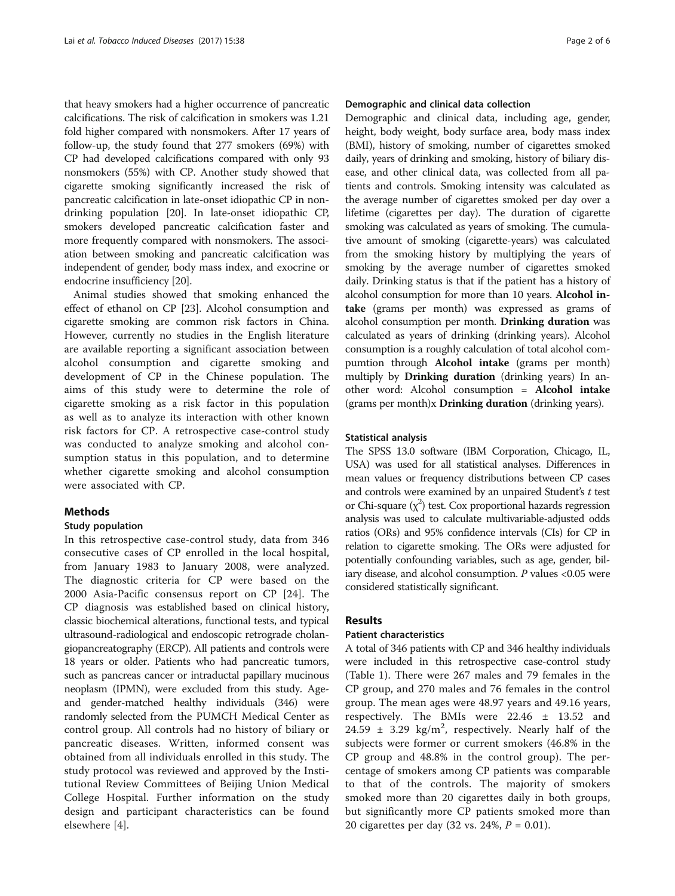that heavy smokers had a higher occurrence of pancreatic calcifications. The risk of calcification in smokers was 1.21 fold higher compared with nonsmokers. After 17 years of follow-up, the study found that 277 smokers (69%) with CP had developed calcifications compared with only 93 nonsmokers (55%) with CP. Another study showed that cigarette smoking significantly increased the risk of pancreatic calcification in late-onset idiopathic CP in nondrinking population [[20](#page-5-0)]. In late-onset idiopathic CP, smokers developed pancreatic calcification faster and more frequently compared with nonsmokers. The association between smoking and pancreatic calcification was independent of gender, body mass index, and exocrine or endocrine insufficiency [[20](#page-5-0)].

Animal studies showed that smoking enhanced the effect of ethanol on CP [[23\]](#page-5-0). Alcohol consumption and cigarette smoking are common risk factors in China. However, currently no studies in the English literature are available reporting a significant association between alcohol consumption and cigarette smoking and development of CP in the Chinese population. The aims of this study were to determine the role of cigarette smoking as a risk factor in this population as well as to analyze its interaction with other known risk factors for CP. A retrospective case-control study was conducted to analyze smoking and alcohol consumption status in this population, and to determine whether cigarette smoking and alcohol consumption were associated with CP.

# **Methods**

## Study population

In this retrospective case-control study, data from 346 consecutive cases of CP enrolled in the local hospital, from January 1983 to January 2008, were analyzed. The diagnostic criteria for CP were based on the 2000 Asia-Pacific consensus report on CP [\[24](#page-5-0)]. The CP diagnosis was established based on clinical history, classic biochemical alterations, functional tests, and typical ultrasound-radiological and endoscopic retrograde cholangiopancreatography (ERCP). All patients and controls were 18 years or older. Patients who had pancreatic tumors, such as pancreas cancer or intraductal papillary mucinous neoplasm (IPMN), were excluded from this study. Ageand gender-matched healthy individuals (346) were randomly selected from the PUMCH Medical Center as control group. All controls had no history of biliary or pancreatic diseases. Written, informed consent was obtained from all individuals enrolled in this study. The study protocol was reviewed and approved by the Institutional Review Committees of Beijing Union Medical College Hospital. Further information on the study design and participant characteristics can be found elsewhere [\[4](#page-4-0)].

## Demographic and clinical data collection

Demographic and clinical data, including age, gender, height, body weight, body surface area, body mass index (BMI), history of smoking, number of cigarettes smoked daily, years of drinking and smoking, history of biliary disease, and other clinical data, was collected from all patients and controls. Smoking intensity was calculated as the average number of cigarettes smoked per day over a lifetime (cigarettes per day). The duration of cigarette smoking was calculated as years of smoking. The cumulative amount of smoking (cigarette-years) was calculated from the smoking history by multiplying the years of smoking by the average number of cigarettes smoked daily. Drinking status is that if the patient has a history of alcohol consumption for more than 10 years. Alcohol intake (grams per month) was expressed as grams of alcohol consumption per month. Drinking duration was calculated as years of drinking (drinking years). Alcohol consumption is a roughly calculation of total alcohol compumtion through Alcohol intake (grams per month) multiply by Drinking duration (drinking years) In another word: Alcohol consumption = Alcohol intake (grams per month)x Drinking duration (drinking years).

## Statistical analysis

The SPSS 13.0 software (IBM Corporation, Chicago, IL, USA) was used for all statistical analyses. Differences in mean values or frequency distributions between CP cases and controls were examined by an unpaired Student's t test or Chi-square  $(\chi^2)$  test. Cox proportional hazards regression analysis was used to calculate multivariable-adjusted odds ratios (ORs) and 95% confidence intervals (CIs) for CP in relation to cigarette smoking. The ORs were adjusted for potentially confounding variables, such as age, gender, biliary disease, and alcohol consumption.  $P$  values <0.05 were considered statistically significant.

# Results

## Patient characteristics

A total of 346 patients with CP and 346 healthy individuals were included in this retrospective case-control study (Table [1](#page-2-0)). There were 267 males and 79 females in the CP group, and 270 males and 76 females in the control group. The mean ages were 48.97 years and 49.16 years, respectively. The BMIs were 22.46 ± 13.52 and 24.59  $\pm$  3.29 kg/m<sup>2</sup>, respectively. Nearly half of the subjects were former or current smokers (46.8% in the CP group and 48.8% in the control group). The percentage of smokers among CP patients was comparable to that of the controls. The majority of smokers smoked more than 20 cigarettes daily in both groups, but significantly more CP patients smoked more than 20 cigarettes per day  $(32 \text{ vs. } 24\%, P = 0.01)$ .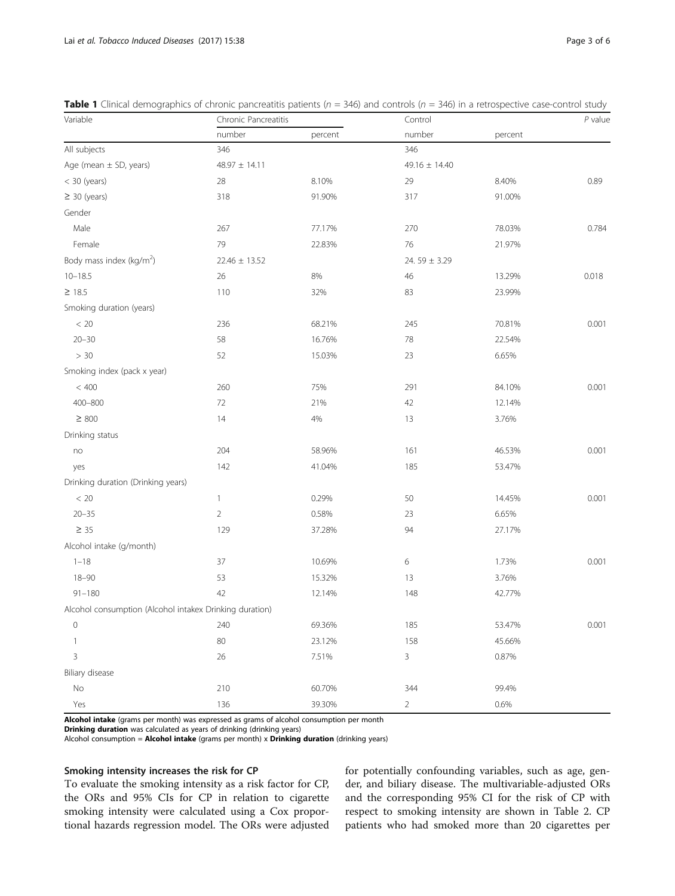| Variable                                                | Chronic Pancreatitis |         | Control          |         | $P$ value |
|---------------------------------------------------------|----------------------|---------|------------------|---------|-----------|
|                                                         | number               | percent | number           | percent |           |
| All subjects                                            | 346                  |         | 346              |         |           |
| Age (mean ± SD, years)                                  | 48.97 ± 14.11        |         | 49.16 ± 14.40    |         |           |
| $<$ 30 (years)                                          | 28                   | 8.10%   | 29               | 8.40%   | 0.89      |
| $\geq$ 30 (years)                                       | 318                  | 91.90%  | 317              | 91.00%  |           |
| Gender                                                  |                      |         |                  |         |           |
| Male                                                    | 267                  | 77.17%  | 270              | 78.03%  | 0.784     |
| Female                                                  | 79                   | 22.83%  | 76               | 21.97%  |           |
| Body mass index (kg/m <sup>2</sup> )                    | $22.46 \pm 13.52$    |         | 24.59 $\pm$ 3.29 |         |           |
| $10 - 18.5$                                             | 26                   | 8%      | $46\,$           | 13.29%  | 0.018     |
| $\geq$ 18.5                                             | 110                  | 32%     | 83               | 23.99%  |           |
| Smoking duration (years)                                |                      |         |                  |         |           |
| < 20                                                    | 236                  | 68.21%  | 245              | 70.81%  | 0.001     |
| $20 - 30$                                               | 58                   | 16.76%  | 78               | 22.54%  |           |
| > 30                                                    | 52                   | 15.03%  | 23               | 6.65%   |           |
| Smoking index (pack x year)                             |                      |         |                  |         |           |
| < 400                                                   | 260                  | 75%     | 291              | 84.10%  | 0.001     |
| 400-800                                                 | 72                   | 21%     | 42               | 12.14%  |           |
| $\geq$ 800                                              | 14                   | 4%      | $13$             | 3.76%   |           |
| Drinking status                                         |                      |         |                  |         |           |
| no                                                      | 204                  | 58.96%  | 161              | 46.53%  | 0.001     |
| yes                                                     | 142                  | 41.04%  | 185              | 53.47%  |           |
| Drinking duration (Drinking years)                      |                      |         |                  |         |           |
| $< 20\,$                                                | $\mathbf{1}$         | 0.29%   | 50               | 14.45%  | 0.001     |
| $20 - 35$                                               | $\overline{2}$       | 0.58%   | 23               | 6.65%   |           |
| $\geq$ 35                                               | 129                  | 37.28%  | 94               | 27.17%  |           |
| Alcohol intake (g/month)                                |                      |         |                  |         |           |
| $1 - 18$                                                | 37                   | 10.69%  | 6                | 1.73%   | 0.001     |
| $18 - 90$                                               | 53                   | 15.32%  | 13               | 3.76%   |           |
| $91 - 180$                                              | 42                   | 12.14%  | 148              | 42.77%  |           |
| Alcohol consumption (Alcohol intakex Drinking duration) |                      |         |                  |         |           |
| 0                                                       | 240                  | 69.36%  | 185              | 53.47%  | 0.001     |
| 1                                                       | $80\,$               | 23.12%  | 158              | 45.66%  |           |
| 3                                                       | 26                   | 7.51%   | $\mathbf{3}$     | 0.87%   |           |
| Biliary disease                                         |                      |         |                  |         |           |
| $\mathsf{No}$                                           | 210                  | 60.70%  | 344              | 99.4%   |           |
| Yes                                                     | 136                  | 39.30%  | $\overline{2}$   | 0.6%    |           |

<span id="page-2-0"></span>**Table 1** Clinical demographics of chronic pancreatitis patients ( $n = 346$ ) and controls ( $n = 346$ ) in a retrospective case-control study

Alcohol intake (grams per month) was expressed as grams of alcohol consumption per month

Drinking duration was calculated as years of drinking (drinking years)

Alcohol consumption =  $\textbf{Alcohol intake}$  (grams per month) x  $\textbf{Drinking duration}$  (drinking years)

# Smoking intensity increases the risk for CP

To evaluate the smoking intensity as a risk factor for CP, the ORs and 95% CIs for CP in relation to cigarette smoking intensity were calculated using a Cox proportional hazards regression model. The ORs were adjusted for potentially confounding variables, such as age, gender, and biliary disease. The multivariable-adjusted ORs and the corresponding 95% CI for the risk of CP with respect to smoking intensity are shown in Table [2.](#page-3-0) CP patients who had smoked more than 20 cigarettes per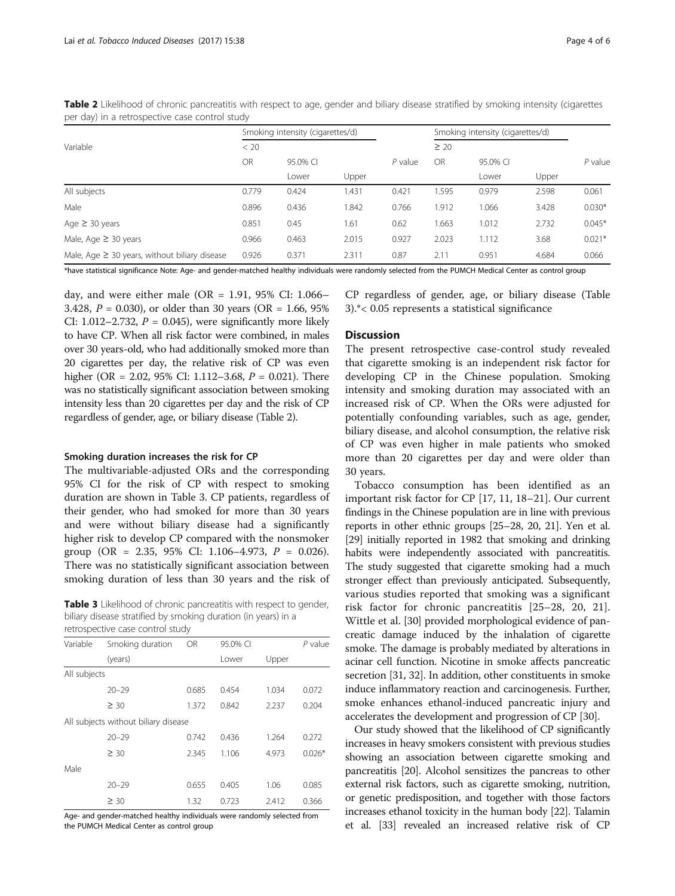|                                                    | Smoking intensity (cigarettes/d) |          |       | Smoking intensity (cigarettes/d) |           |          |       |           |
|----------------------------------------------------|----------------------------------|----------|-------|----------------------------------|-----------|----------|-------|-----------|
| Variable                                           | < 20                             |          |       |                                  | $\geq 20$ |          |       |           |
|                                                    | <b>OR</b>                        | 95.0% CI |       | $P$ value                        | <b>OR</b> | 95.0% CI |       | $P$ value |
|                                                    |                                  | Lower    | Upper |                                  |           | Lower    | Upper |           |
| All subjects                                       | 0.779                            | 0.424    | .431  | 0.421                            | 1.595     | 0.979    | 2.598 | 0.061     |
| Male                                               | 0.896                            | 0.436    | .842  | 0.766                            | 1.912     | 1.066    | 3.428 | $0.030*$  |
| Age $\geq$ 30 years                                | 0.851                            | 0.45     | 1.61  | 0.62                             | 1.663     | 1.012    | 2.732 | $0.045*$  |
| Male, Age $\geq$ 30 years                          | 0.966                            | 0.463    | 2.015 | 0.927                            | 2.023     | 1.112    | 3.68  | $0.021*$  |
| Male, Age $\geq$ 30 years, without biliary disease | 0.926                            | 0.371    | 2.311 | 0.87                             | 2.11      | 0.951    | 4.684 | 0.066     |

<span id="page-3-0"></span>Table 2 Likelihood of chronic pancreatitis with respect to age, gender and biliary disease stratified by smoking intensity (cigarettes per day) in a retrospective case control study

\*have statistical significance Note: Age- and gender-matched healthy individuals were randomly selected from the PUMCH Medical Center as control group

day, and were either male (OR = 1.91, 95% CI: 1.066– 3.428, P = 0.030), or older than 30 years (OR = 1.66, 95% CI: 1.012–2.732,  $P = 0.045$ ), were significantly more likely to have CP. When all risk factor were combined, in males over 30 years-old, who had additionally smoked more than 20 cigarettes per day, the relative risk of CP was even higher (OR = 2.02, 95% CI: 1.112–3.68,  $P = 0.021$ ). There was no statistically significant association between smoking intensity less than 20 cigarettes per day and the risk of CP regardless of gender, age, or biliary disease (Table 2).

# Smoking duration increases the risk for CP

The multivariable-adjusted ORs and the corresponding 95% CI for the risk of CP with respect to smoking duration are shown in Table 3. CP patients, regardless of their gender, who had smoked for more than 30 years and were without biliary disease had a significantly higher risk to develop CP compared with the nonsmoker group (OR = 2.35, 95% CI: 1.106-4.973,  $P = 0.026$ ). There was no statistically significant association between smoking duration of less than 30 years and the risk of

Table 3 Likelihood of chronic pancreatitis with respect to gender, biliary disease stratified by smoking duration (in years) in a retrospective case control study

| TOLIOSPOCLIVO COSO COLITION STOCKY |                                      |           |          |       |           |  |  |  |
|------------------------------------|--------------------------------------|-----------|----------|-------|-----------|--|--|--|
| Variable                           | Smoking duration                     | <b>OR</b> | 95.0% CI |       | $P$ value |  |  |  |
|                                    | (years)                              |           | Lower    | Upper |           |  |  |  |
| All subjects                       |                                      |           |          |       |           |  |  |  |
|                                    | $20 - 29$                            | 0.685     | 0.454    | 1.034 | 0.072     |  |  |  |
|                                    | $\geq 30$                            | 1.372     | 0.842    | 2.237 | 0.204     |  |  |  |
|                                    | All subjects without biliary disease |           |          |       |           |  |  |  |
|                                    | $20 - 29$                            | 0.742     | 0.436    | 1.264 | 0.272     |  |  |  |
|                                    | $\geq 30$                            | 2.345     | 1.106    | 4.973 | $0.026*$  |  |  |  |
| Male                               |                                      |           |          |       |           |  |  |  |
|                                    | $20 - 29$                            | 0.655     | 0.405    | 1.06  | 0.085     |  |  |  |
|                                    | $\geq$ 30                            | 1.32      | 0.723    | 2.412 | 0.366     |  |  |  |

Age- and gender-matched healthy individuals were randomly selected from the PUMCH Medical Center as control group

CP regardless of gender, age, or biliary disease (Table 3).\*< 0.05 represents a statistical significance

# **Discussion**

The present retrospective case-control study revealed that cigarette smoking is an independent risk factor for developing CP in the Chinese population. Smoking intensity and smoking duration may associated with an increased risk of CP. When the ORs were adjusted for potentially confounding variables, such as age, gender, biliary disease, and alcohol consumption, the relative risk of CP was even higher in male patients who smoked more than 20 cigarettes per day and were older than 30 years.

Tobacco consumption has been identified as an important risk factor for CP [[17](#page-5-0), [11](#page-5-0), [18](#page-5-0)–[21\]](#page-5-0). Our current findings in the Chinese population are in line with previous reports in other ethnic groups [\[25](#page-5-0)–[28, 20](#page-5-0), [21\]](#page-5-0). Yen et al. [[29](#page-5-0)] initially reported in 1982 that smoking and drinking habits were independently associated with pancreatitis. The study suggested that cigarette smoking had a much stronger effect than previously anticipated. Subsequently, various studies reported that smoking was a significant risk factor for chronic pancreatitis [\[25](#page-5-0)–[28](#page-5-0), [20, 21](#page-5-0)]. Wittle et al. [\[30](#page-5-0)] provided morphological evidence of pancreatic damage induced by the inhalation of cigarette smoke. The damage is probably mediated by alterations in acinar cell function. Nicotine in smoke affects pancreatic secretion [[31](#page-5-0), [32\]](#page-5-0). In addition, other constituents in smoke induce inflammatory reaction and carcinogenesis. Further, smoke enhances ethanol-induced pancreatic injury and accelerates the development and progression of CP [[30](#page-5-0)].

Our study showed that the likelihood of CP significantly increases in heavy smokers consistent with previous studies showing an association between cigarette smoking and pancreatitis [\[20\]](#page-5-0). Alcohol sensitizes the pancreas to other external risk factors, such as cigarette smoking, nutrition, or genetic predisposition, and together with those factors increases ethanol toxicity in the human body [\[22](#page-5-0)]. Talamin et al. [\[33\]](#page-5-0) revealed an increased relative risk of CP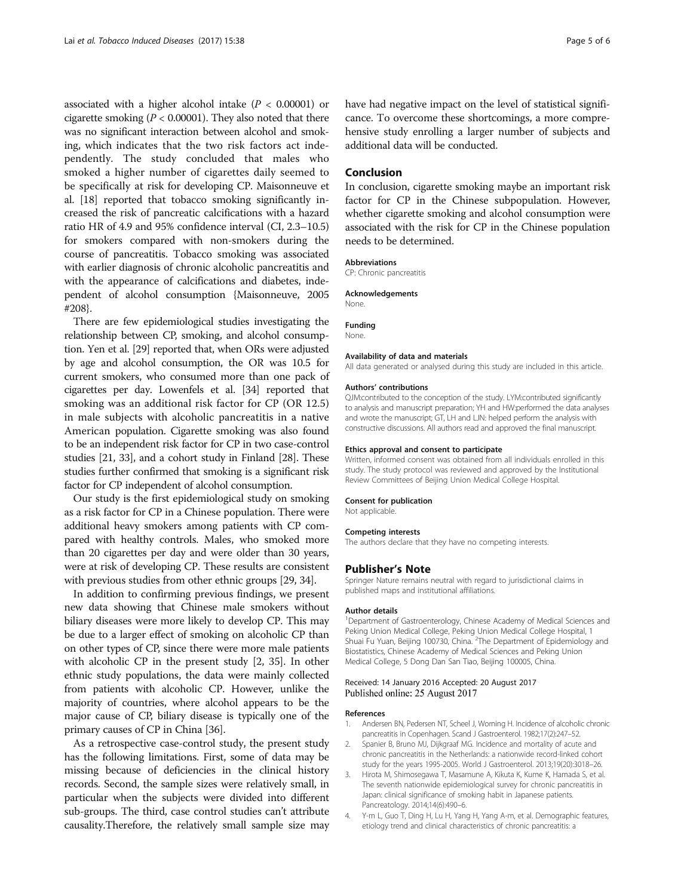<span id="page-4-0"></span>associated with a higher alcohol intake  $(P < 0.00001)$  or cigarette smoking ( $P < 0.00001$ ). They also noted that there was no significant interaction between alcohol and smoking, which indicates that the two risk factors act independently. The study concluded that males who smoked a higher number of cigarettes daily seemed to be specifically at risk for developing CP. Maisonneuve et al. [[18](#page-5-0)] reported that tobacco smoking significantly increased the risk of pancreatic calcifications with a hazard ratio HR of 4.9 and 95% confidence interval (CI, 2.3–10.5) for smokers compared with non-smokers during the course of pancreatitis. Tobacco smoking was associated with earlier diagnosis of chronic alcoholic pancreatitis and with the appearance of calcifications and diabetes, independent of alcohol consumption {Maisonneuve, 2005 #208}.

There are few epidemiological studies investigating the relationship between CP, smoking, and alcohol consumption. Yen et al. [\[29](#page-5-0)] reported that, when ORs were adjusted by age and alcohol consumption, the OR was 10.5 for current smokers, who consumed more than one pack of cigarettes per day. Lowenfels et al. [[34](#page-5-0)] reported that smoking was an additional risk factor for CP (OR 12.5) in male subjects with alcoholic pancreatitis in a native American population. Cigarette smoking was also found to be an independent risk factor for CP in two case-control studies [\[21, 33\]](#page-5-0), and a cohort study in Finland [\[28](#page-5-0)]. These studies further confirmed that smoking is a significant risk factor for CP independent of alcohol consumption.

Our study is the first epidemiological study on smoking as a risk factor for CP in a Chinese population. There were additional heavy smokers among patients with CP compared with healthy controls. Males, who smoked more than 20 cigarettes per day and were older than 30 years, were at risk of developing CP. These results are consistent with previous studies from other ethnic groups [\[29, 34](#page-5-0)].

In addition to confirming previous findings, we present new data showing that Chinese male smokers without biliary diseases were more likely to develop CP. This may be due to a larger effect of smoking on alcoholic CP than on other types of CP, since there were more male patients with alcoholic CP in the present study [2, [35](#page-5-0)]. In other ethnic study populations, the data were mainly collected from patients with alcoholic CP. However, unlike the majority of countries, where alcohol appears to be the major cause of CP, biliary disease is typically one of the primary causes of CP in China [\[36\]](#page-5-0).

As a retrospective case-control study, the present study has the following limitations. First, some of data may be missing because of deficiencies in the clinical history records. Second, the sample sizes were relatively small, in particular when the subjects were divided into different sub-groups. The third, case control studies can't attribute causality.Therefore, the relatively small sample size may have had negative impact on the level of statistical significance. To overcome these shortcomings, a more comprehensive study enrolling a larger number of subjects and additional data will be conducted.

# Conclusion

In conclusion, cigarette smoking maybe an important risk factor for CP in the Chinese subpopulation. However, whether cigarette smoking and alcohol consumption were associated with the risk for CP in the Chinese population needs to be determined.

# Abbreviations

CP: Chronic pancreatitis

## Acknowledgements

None.

#### Funding

None.

# Availability of data and materials

All data generated or analysed during this study are included in this article.

#### Authors' contributions

QJM:contributed to the conception of the study. LYM:contributed significantly to analysis and manuscript preparation; YH and HW:performed the data analyses and wrote the manuscript; GT, LH and LJN: helped perform the analysis with constructive discussions. All authors read and approved the final manuscript.

## Ethics approval and consent to participate

Written, informed consent was obtained from all individuals enrolled in this study. The study protocol was reviewed and approved by the Institutional Review Committees of Beijing Union Medical College Hospital.

## Consent for publication

Not applicable.

#### Competing interests

The authors declare that they have no competing interests.

#### Publisher's Note

Springer Nature remains neutral with regard to jurisdictional claims in published maps and institutional affiliations.

#### Author details

<sup>1</sup>Department of Gastroenterology, Chinese Academy of Medical Sciences and Peking Union Medical College, Peking Union Medical College Hospital, 1 Shuai Fu Yuan, Beijing 100730, China. <sup>2</sup>The Department of Epidemiology and Biostatistics, Chinese Academy of Medical Sciences and Peking Union Medical College, 5 Dong Dan San Tiao, Beijing 100005, China.

#### Received: 14 January 2016 Accepted: 20 August 2017 Published online: 25 August 2017

## References

- 1. Andersen BN, Pedersen NT, Scheel J, Worning H. Incidence of alcoholic chronic pancreatitis in Copenhagen. Scand J Gastroenterol. 1982;17(2):247–52.
- 2. Spanier B, Bruno MJ, Dijkgraaf MG. Incidence and mortality of acute and chronic pancreatitis in the Netherlands: a nationwide record-linked cohort study for the years 1995-2005. World J Gastroenterol. 2013;19(20):3018–26.
- 3. Hirota M, Shimosegawa T, Masamune A, Kikuta K, Kume K, Hamada S, et al. The seventh nationwide epidemiological survey for chronic pancreatitis in Japan: clinical significance of smoking habit in Japanese patients. Pancreatology. 2014;14(6):490–6.
- 4. Y-m L, Guo T, Ding H, Lu H, Yang H, Yang A-m, et al. Demographic features, etiology trend and clinical characteristics of chronic pancreatitis: a